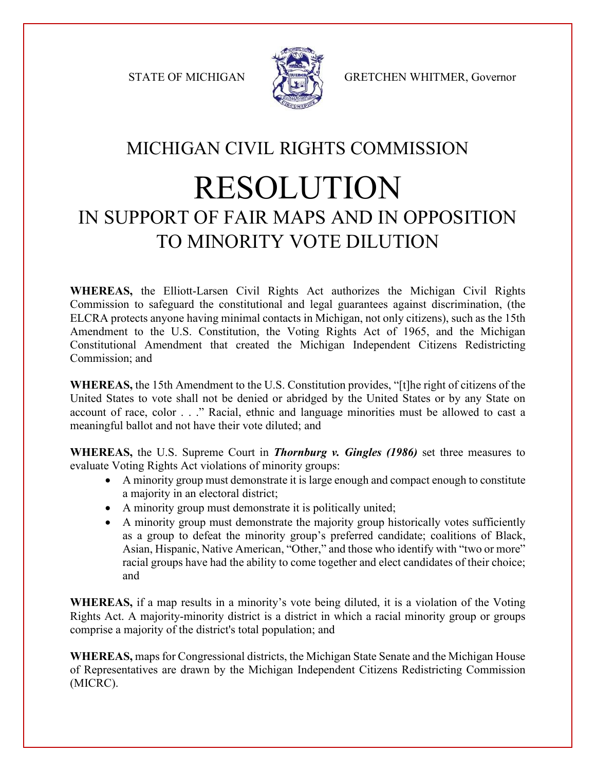

STATE OF MICHIGAN STATE OF MICHIGAN

## MICHIGAN CIVIL RIGHTS COMMISSION

## RESOLUTION IN SUPPORT OF FAIR MAPS AND IN OPPOSITION TO MINORITY VOTE DILUTION

**WHEREAS,** the Elliott-Larsen Civil Rights Act authorizes the Michigan Civil Rights Commission to safeguard the constitutional and legal guarantees against discrimination, (the ELCRA protects anyone having minimal contacts in Michigan, not only citizens), such as the 15th Amendment to the U.S. Constitution, the Voting Rights Act of 1965, and the Michigan Constitutional Amendment that created the Michigan Independent Citizens Redistricting Commission; and

**WHEREAS,** the 15th Amendment to the U.S. Constitution provides, "[t]he right of citizens of the United States to vote shall not be denied or abridged by the United States or by any State on account of race, color . . ." Racial, ethnic and language minorities must be allowed to cast a meaningful ballot and not have their vote diluted; and

**WHEREAS,** the U.S. Supreme Court in *Thornburg v. Gingles (1986)* set three measures to evaluate Voting Rights Act violations of minority groups:

- A minority group must demonstrate it is large enough and compact enough to constitute a majority in an electoral district;
- A minority group must demonstrate it is politically united;
- A minority group must demonstrate the majority group historically votes sufficiently as a group to defeat the minority group's preferred candidate; coalitions of Black, Asian, Hispanic, Native American, "Other," and those who identify with "two or more" racial groups have had the ability to come together and elect candidates of their choice; and

**WHEREAS,** if a map results in a minority's vote being diluted, it is a violation of the Voting Rights Act. A majority-minority district is a district in which a racial minority group or groups comprise a majority of the district's total population; and

**WHEREAS,** maps for Congressional districts, the Michigan State Senate and the Michigan House of Representatives are drawn by the Michigan Independent Citizens Redistricting Commission (MICRC).